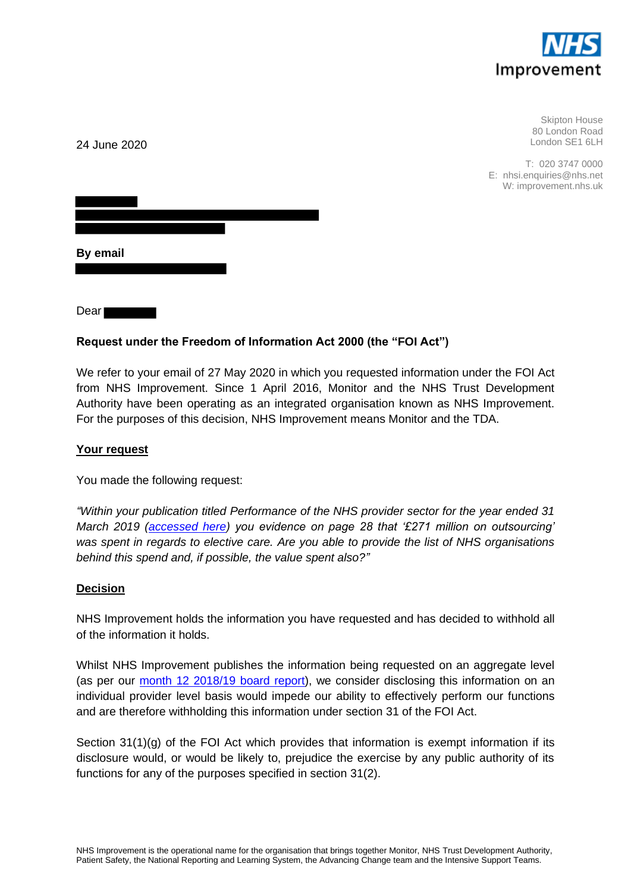

Skipton House 80 London Road London SE1 6LH

T: 020 3747 0000 E: nhsi.enquiries@nhs.net W: improvement.nhs.uk

| By email |  |  |  |
|----------|--|--|--|
|          |  |  |  |

Dear

24 June 2020

# **Request under the Freedom of Information Act 2000 (the "FOI Act")**

We refer to your email of 27 May 2020 in which you requested information under the FOI Act from NHS Improvement. Since 1 April 2016, Monitor and the NHS Trust Development Authority have been operating as an integrated organisation known as NHS Improvement. For the purposes of this decision, NHS Improvement means Monitor and the TDA.

#### **Your request**

You made the following request:

*"Within your publication titled Performance of the NHS provider sector for the year ended 31 March 2019 [\(accessed here\)](https://improvement.nhs.uk/documents/5404/Performance_of_the_NHS_provider_sector_for_the_quarter_4_1819.pdf) you evidence on page 28 that '£271 million on outsourcing' was spent in regards to elective care. Are you able to provide the list of NHS organisations behind this spend and, if possible, the value spent also?"*

#### **Decision**

NHS Improvement holds the information you have requested and has decided to withhold all of the information it holds.

Whilst NHS Improvement publishes the information being requested on an aggregate level (as per our [month 12 2018/19 board report\)](https://www.england.nhs.uk/wp-content/uploads/2019/06/4-Operational-quality-and-financial-performance-update.pdf), we consider disclosing this information on an individual provider level basis would impede our ability to effectively perform our functions and are therefore withholding this information under section 31 of the FOI Act.

Section 31(1)(g) of the FOI Act which provides that information is exempt information if its disclosure would, or would be likely to, prejudice the exercise by any public authority of its functions for any of the purposes specified in section 31(2).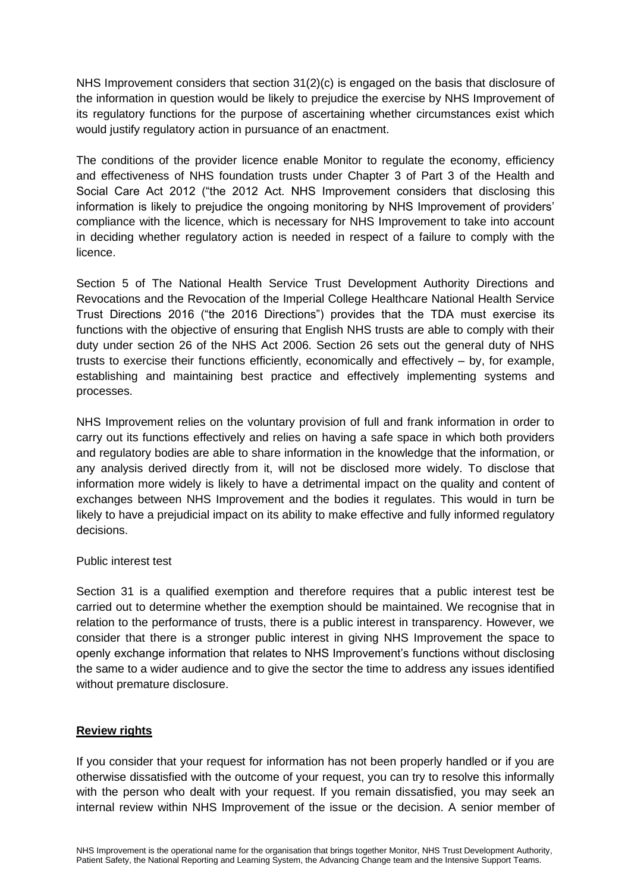NHS Improvement considers that section 31(2)(c) is engaged on the basis that disclosure of the information in question would be likely to prejudice the exercise by NHS Improvement of its regulatory functions for the purpose of ascertaining whether circumstances exist which would justify regulatory action in pursuance of an enactment.

The conditions of the provider licence enable Monitor to regulate the economy, efficiency and effectiveness of NHS foundation trusts under Chapter 3 of Part 3 of the Health and Social Care Act 2012 ("the 2012 Act. NHS Improvement considers that disclosing this information is likely to prejudice the ongoing monitoring by NHS Improvement of providers' compliance with the licence, which is necessary for NHS Improvement to take into account in deciding whether regulatory action is needed in respect of a failure to comply with the licence.

Section 5 of The National Health Service Trust Development Authority Directions and Revocations and the Revocation of the Imperial College Healthcare National Health Service Trust Directions 2016 ("the 2016 Directions") provides that the TDA must exercise its functions with the objective of ensuring that English NHS trusts are able to comply with their duty under section 26 of the NHS Act 2006. Section 26 sets out the general duty of NHS trusts to exercise their functions efficiently, economically and effectively – by, for example, establishing and maintaining best practice and effectively implementing systems and processes.

NHS Improvement relies on the voluntary provision of full and frank information in order to carry out its functions effectively and relies on having a safe space in which both providers and regulatory bodies are able to share information in the knowledge that the information, or any analysis derived directly from it, will not be disclosed more widely. To disclose that information more widely is likely to have a detrimental impact on the quality and content of exchanges between NHS Improvement and the bodies it regulates. This would in turn be likely to have a prejudicial impact on its ability to make effective and fully informed regulatory decisions.

## Public interest test

Section 31 is a qualified exemption and therefore requires that a public interest test be carried out to determine whether the exemption should be maintained. We recognise that in relation to the performance of trusts, there is a public interest in transparency. However, we consider that there is a stronger public interest in giving NHS Improvement the space to openly exchange information that relates to NHS Improvement's functions without disclosing the same to a wider audience and to give the sector the time to address any issues identified without premature disclosure.

## **Review rights**

If you consider that your request for information has not been properly handled or if you are otherwise dissatisfied with the outcome of your request, you can try to resolve this informally with the person who dealt with your request. If you remain dissatisfied, you may seek an internal review within NHS Improvement of the issue or the decision. A senior member of